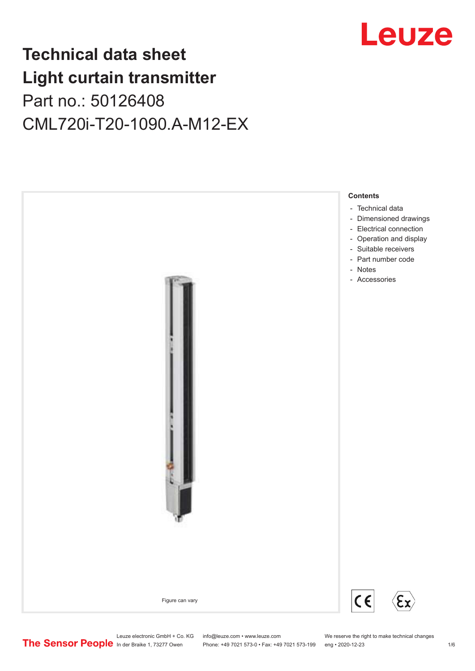

## **Technical data sheet Light curtain transmitter** Part no.: 50126408 CML720i-T20-1090.A-M12-EX



Leuze electronic GmbH + Co. KG info@leuze.com • www.leuze.com We reserve the right to make technical changes<br>
The Sensor People in der Braike 1, 73277 Owen Phone: +49 7021 573-0 • Fax: +49 7021 573-199 eng • 2020-12-23

Phone: +49 7021 573-0 • Fax: +49 7021 573-199 eng • 2020-12-23 1 76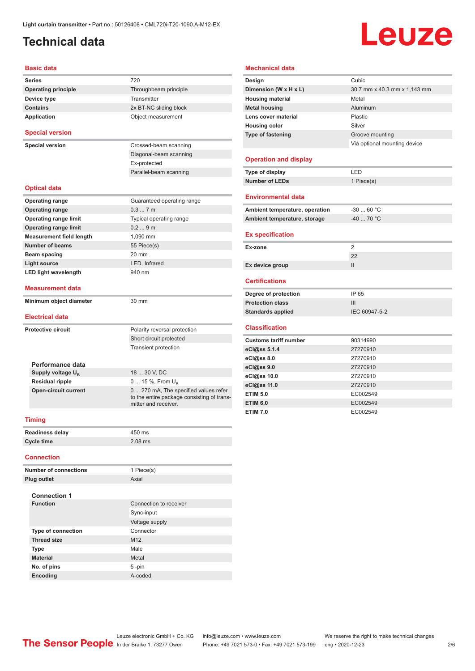## <span id="page-1-0"></span>**Technical data**

# Leuze

#### **Basic data**

| <b>Series</b>                                         | 720                                                                                    |  |  |  |
|-------------------------------------------------------|----------------------------------------------------------------------------------------|--|--|--|
| <b>Operating principle</b>                            | Throughbeam principle                                                                  |  |  |  |
| Device type                                           | Transmitter                                                                            |  |  |  |
| <b>Contains</b>                                       | 2x BT-NC sliding block                                                                 |  |  |  |
| Application                                           | Object measurement                                                                     |  |  |  |
| <b>Special version</b>                                |                                                                                        |  |  |  |
| <b>Special version</b>                                | Crossed-beam scanning                                                                  |  |  |  |
|                                                       | Diagonal-beam scanning                                                                 |  |  |  |
|                                                       | Ex-protected                                                                           |  |  |  |
|                                                       | Parallel-beam scanning                                                                 |  |  |  |
| <b>Optical data</b>                                   |                                                                                        |  |  |  |
| <b>Operating range</b>                                | Guaranteed operating range                                                             |  |  |  |
| <b>Operating range</b>                                | 0.37m                                                                                  |  |  |  |
| <b>Operating range limit</b>                          | Typical operating range                                                                |  |  |  |
| <b>Operating range limit</b>                          | 0.29m                                                                                  |  |  |  |
| <b>Measurement field length</b>                       | 1,090 mm                                                                               |  |  |  |
| <b>Number of beams</b>                                | 55 Piece(s)                                                                            |  |  |  |
| Beam spacing                                          | 20 mm                                                                                  |  |  |  |
| <b>Light source</b>                                   | LED, Infrared                                                                          |  |  |  |
| <b>LED light wavelength</b>                           | 940 nm                                                                                 |  |  |  |
| <b>Measurement data</b>                               |                                                                                        |  |  |  |
| Minimum object diameter                               | 30 mm                                                                                  |  |  |  |
| <b>Electrical data</b>                                |                                                                                        |  |  |  |
|                                                       |                                                                                        |  |  |  |
| <b>Protective circuit</b>                             | Polarity reversal protection                                                           |  |  |  |
|                                                       | Short circuit protected                                                                |  |  |  |
|                                                       | <b>Transient protection</b>                                                            |  |  |  |
|                                                       |                                                                                        |  |  |  |
|                                                       |                                                                                        |  |  |  |
| Performance data                                      |                                                                                        |  |  |  |
| Supply voltage $U_{B}$                                | 18  30 V, DC                                                                           |  |  |  |
| <b>Residual ripple</b><br><b>Open-circuit current</b> | 0  15 %, From $U_{B}$<br>0  270 mA, The specified values refer<br>mitter and receiver. |  |  |  |
| <b>Timing</b>                                         |                                                                                        |  |  |  |
| <b>Readiness delay</b>                                | 450 ms                                                                                 |  |  |  |
| <b>Cycle time</b>                                     | to the entire package consisting of trans-<br>$2.08$ ms                                |  |  |  |
| Connection                                            |                                                                                        |  |  |  |
| <b>Number of connections</b>                          | 1 Piece(s)                                                                             |  |  |  |
| <b>Plug outlet</b>                                    | Axial                                                                                  |  |  |  |

| <b>Connection 1</b>       |                        |
|---------------------------|------------------------|
| <b>Function</b>           | Connection to receiver |
|                           | Sync-input             |
|                           | Voltage supply         |
| <b>Type of connection</b> | Connector              |
| <b>Thread size</b>        | M <sub>12</sub>        |
| <b>Type</b>               | Male                   |
| <b>Material</b>           | Metal                  |
| No. of pins               | 5-pin                  |
| <b>Encoding</b>           | A-coded                |

#### **Mechanical data**

| Design                         | Cubic                        |
|--------------------------------|------------------------------|
| Dimension (W x H x L)          | 30.7 mm x 40.3 mm x 1,143 mm |
| <b>Housing material</b>        | Metal                        |
| <b>Metal housing</b>           | Aluminum                     |
| Lens cover material            | Plastic                      |
| <b>Housing color</b>           | Silver                       |
| <b>Type of fastening</b>       | Groove mounting              |
|                                | Via optional mounting device |
|                                |                              |
| <b>Operation and display</b>   |                              |
| Type of display                | LED                          |
| <b>Number of LEDs</b>          | 1 Piece(s)                   |
|                                |                              |
| <b>Environmental data</b>      |                              |
| Ambient temperature, operation | $-30$ 60 °C                  |
| Ambient temperature, storage   | $-40$ 70 °C                  |
|                                |                              |
| <b>Ex specification</b>        |                              |
|                                |                              |
| Ex-zone                        | $\overline{2}$               |
|                                | 22                           |
| Ex device group                | Ш                            |
|                                |                              |
| <b>Certifications</b>          |                              |
| Degree of protection           | IP 65                        |
| <b>Protection class</b>        | Ш                            |
| <b>Standards applied</b>       | IEC 60947-5-2                |
|                                |                              |
| <b>Classification</b>          |                              |
| <b>Customs tariff number</b>   | 90314990                     |
| eCl@ss 5.1.4                   | 27270910                     |
| eCl@ss 8.0                     | 27270910                     |
| eCl@ss 9.0                     | 27270910                     |
| eCl@ss 10.0                    | 27270910                     |
| eCl@ss 11.0                    | 27270910                     |
| <b>ETIM 5.0</b>                | EC002549                     |
| <b>ETIM 6.0</b>                | EC002549                     |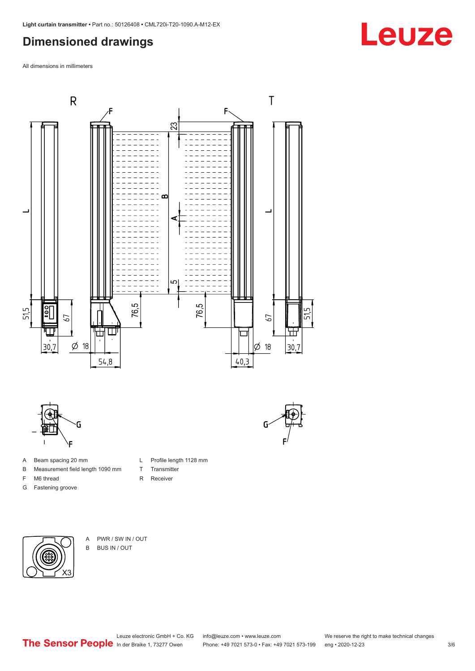## <span id="page-2-0"></span>**Dimensioned drawings**

All dimensions in millimeters



L Profile length 1128 mm

T Transmitter R Receiver



- A Beam spacing 20 mm
- B Measurement field length 1090 mm
- F M6 thread
- G Fastening groove

- X3
- A PWR / SW IN / OUT B BUS IN / OUT

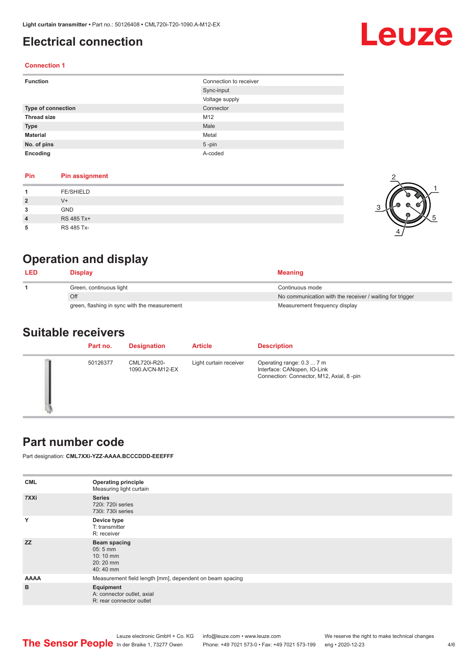## <span id="page-3-0"></span>**Electrical connection**

# Leuze

2

-<br>-2

1

5

#### **Connection 1**

| <b>Function</b>    | Connection to receiver |
|--------------------|------------------------|
|                    | Sync-input             |
|                    | Voltage supply         |
| Type of connection | Connector              |
| <b>Thread size</b> | M12                    |
| <b>Type</b>        | Male                   |
| <b>Material</b>    | Metal                  |
| No. of pins        | $5$ -pin               |
| Encoding           | A-coded                |

#### **Pin Pin assignment**

|                | <b>FE/SHIELD</b> |  |
|----------------|------------------|--|
| $\overline{2}$ | $V +$            |  |
| 3              | <b>GND</b>       |  |
| $\overline{4}$ | RS 485 Tx+       |  |
| 5              | RS 485 Tx-       |  |

### **Operation and display**

| <b>LED</b> | Display                                      | <b>Meaning</b>                                           |
|------------|----------------------------------------------|----------------------------------------------------------|
|            | Green, continuous light                      | Continuous mode                                          |
|            | Off                                          | No communication with the receiver / waiting for trigger |
|            | green, flashing in sync with the measurement | Measurement frequency display                            |

#### **Suitable receivers**

| Part no. | <b>Designation</b>               | <b>Article</b>         | <b>Description</b>                                                                                   |
|----------|----------------------------------|------------------------|------------------------------------------------------------------------------------------------------|
| 50126377 | CML720i-R20-<br>1090.A/CN-M12-EX | Light curtain receiver | Operating range: 0.3  7 m<br>Interface: CANopen, IO-Link<br>Connection: Connector, M12, Axial, 8-pin |

#### **Part number code**

Part designation: **CML7XXi-YZZ-AAAA.BCCCDDD-EEEFFF**

| <b>Operating principle</b><br>Measuring light curtain               |  |  |
|---------------------------------------------------------------------|--|--|
| <b>Series</b><br>720i: 720i series<br>730i: 730i series             |  |  |
| Device type<br>T: transmitter<br>R: receiver                        |  |  |
| Beam spacing<br>$05:5$ mm<br>10:10 mm<br>20:20 mm<br>40:40 mm       |  |  |
| Measurement field length [mm], dependent on beam spacing            |  |  |
| Equipment<br>A: connector outlet, axial<br>R: rear connector outlet |  |  |
|                                                                     |  |  |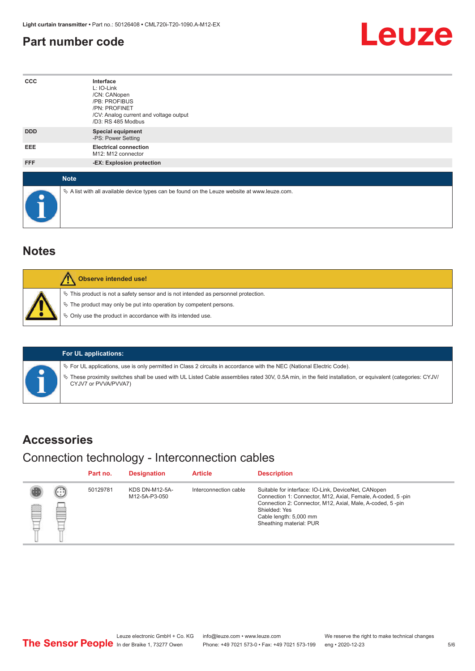#### <span id="page-4-0"></span>**Part number code**



| $_{\rm ccc}$ | Interface<br>L: IO-Link<br>/CN: CANopen<br>/PB: PROFIBUS<br>/PN: PROFINET<br>/CV: Analog current and voltage output<br>/D3: RS 485 Modbus |
|--------------|-------------------------------------------------------------------------------------------------------------------------------------------|
| <b>DDD</b>   | <b>Special equipment</b><br>-PS: Power Setting                                                                                            |
| EEE          | <b>Electrical connection</b><br>M12: M12 connector                                                                                        |
| FFF          | -EX: Explosion protection                                                                                                                 |
| <b>Note</b>  |                                                                                                                                           |
| $\bullet$    | $\&$ A list with all available device types can be found on the Leuze website at www.leuze.com.                                           |

#### **Notes**

| Observe intended use!                                                                                                                                                                                                      |
|----------------------------------------------------------------------------------------------------------------------------------------------------------------------------------------------------------------------------|
| $\%$ This product is not a safety sensor and is not intended as personnel protection.<br>§ The product may only be put into operation by competent persons.<br>§ Only use the product in accordance with its intended use. |

#### **For UL applications:**

ª For UL applications, use is only permitted in Class 2 circuits in accordance with the NEC (National Electric Code).

ª These proximity switches shall be used with UL Listed Cable assemblies rated 30V, 0.5A min, in the field installation, or equivalent (categories: CYJV/ CYJV7 or PVVA/PVVA7)

#### **Accessories**

#### Connection technology - Interconnection cables

|   |                            | Part no. | <b>Designation</b>                     | <b>Article</b>        | <b>Description</b>                                                                                                                                                                                                                                    |
|---|----------------------------|----------|----------------------------------------|-----------------------|-------------------------------------------------------------------------------------------------------------------------------------------------------------------------------------------------------------------------------------------------------|
| ₿ | (. : :<br><b>From</b><br>œ | 50129781 | <b>KDS DN-M12-5A-</b><br>M12-5A-P3-050 | Interconnection cable | Suitable for interface: IO-Link, DeviceNet, CANopen<br>Connection 1: Connector, M12, Axial, Female, A-coded, 5-pin<br>Connection 2: Connector, M12, Axial, Male, A-coded, 5-pin<br>Shielded: Yes<br>Cable length: 5,000 mm<br>Sheathing material: PUR |